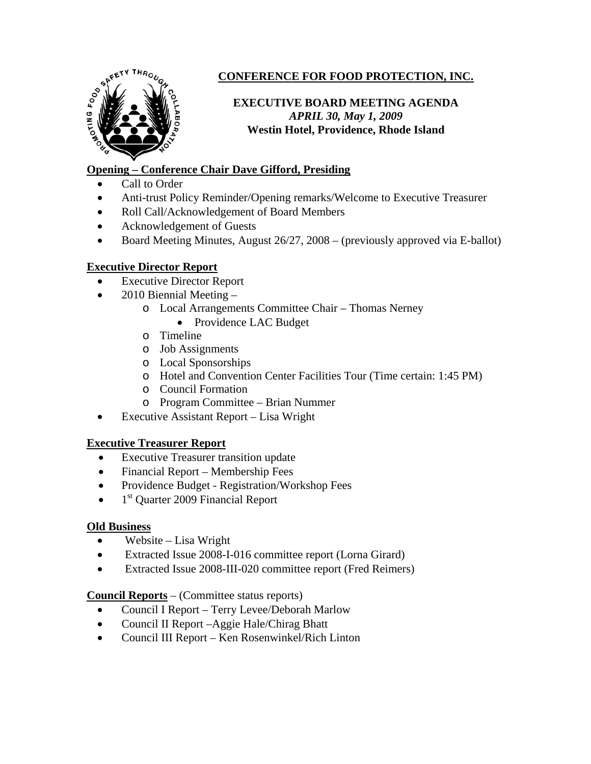

# **CONFERENCE FOR FOOD PROTECTION, INC.**

## **EXECUTIVE BOARD MEETING AGENDA**  *APRIL 30, May 1, 2009*  **Westin Hotel, Providence, Rhode Island**

## **Opening – Conference Chair Dave Gifford, Presiding**

- Call to Order
- Anti-trust Policy Reminder/Opening remarks/Welcome to Executive Treasurer
- Roll Call/Acknowledgement of Board Members
- Acknowledgement of Guests
- Board Meeting Minutes, August 26/27, 2008 (previously approved via E-ballot)

## **Executive Director Report**

- Executive Director Report
- 2010 Biennial Meeting
	- o Local Arrangements Committee Chair Thomas Nerney
		- Providence LAC Budget
	- o Timeline
	- o Job Assignments
	- o Local Sponsorships
	- o Hotel and Convention Center Facilities Tour (Time certain: 1:45 PM)
	- o Council Formation
	- o Program Committee Brian Nummer
- Executive Assistant Report Lisa Wright

#### **Executive Treasurer Report**

- **Executive Treasurer transition update**
- Financial Report Membership Fees
- Providence Budget Registration/Workshop Fees
- $\bullet$  1<sup>st</sup> Quarter 2009 Financial Report

#### **Old Business**

- Website Lisa Wright
- Extracted Issue 2008-I-016 committee report (Lorna Girard)
- Extracted Issue 2008-III-020 committee report (Fred Reimers)

#### **Council Reports** – (Committee status reports)

- Council I Report Terry Levee/Deborah Marlow
- Council II Report –Aggie Hale/Chirag Bhatt
- Council III Report Ken Rosenwinkel/Rich Linton